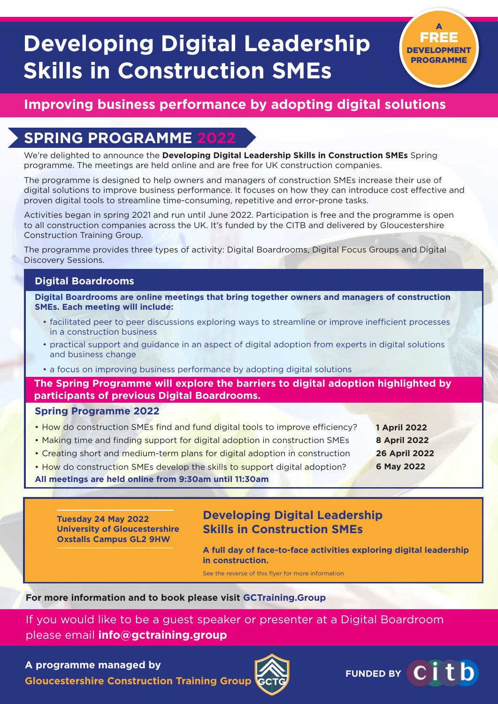# **Developing Digital Leadership Skills in Construction SMEs**

## **Improving business performance by adopting digital solutions**

## **SPRING PROGRAMME**

We're delighted to announce the **Developing Digital Leadership Skills in Construction SMEs** Spring programme. The meetings are held online and are free for UK construction companies.

The programme is designed to help owners and managers of construction SMEs increase their use of digital solutions to improve business performance. It focuses on how they can introduce cost effective and proven digital tools to streamline time-consuming, repetitive and error-prone tasks.

Activities began in spring 2021 and run until June 2022. Participation is free and the programme is open to all construction companies across the UK. It's funded by the CITB and delivered by Gloucestershire Construction Training Group.

The programme provides three types of activity: Digital Boardrooms, Digital Focus Groups and Digital Discovery Sessions.

### **Digital Boardrooms**

**Digital Boardrooms are online meetings that bring together owners and managers of construction SMEs. Each meeting will include:**

- facilitated peer to peer discussions exploring ways to streamline or improve inefficient processes in a construction business
- practical support and guidance in an aspect of digital adoption from experts in digital solutions and business change
- a focus on improving business performance by adopting digital solutions

**The Spring Programme will explore the barriers to digital adoption highlighted by participants of previous Digital Boardrooms.**

### **Spring Programme 2022**

- How do construction SMEs find and fund digital tools to improve efficiency?
- Making time and finding support for digital adoption in construction SMEs
- Creating short and medium-term plans for digital adoption in construction
- How do construction SMEs develop the skills to support digital adoption?

### **All meetings are held online from 9:30am until 11:30am**

**Tuesday 24 May 2022 University of Gloucestershire Oxstalls Campus GL2 9HW**

### **Developing Digital Leadership Skills in Construction SMEs**

**A full day of face-to-face activities exploring digital leadership in construction.** 

See the reverse of this flyer for more information

### **For more information and to book please visit GCTraining.Group**

If you would like to be a guest speaker or presenter at a Digital Boardroom please email **info@gctraining.group**

### **A programme managed by**

**Gloucestershire Construction Training Group**





**1 April 2022 8 April 2022 26 April 2022 6 May 2022**

A FREE DEVELOPMENT PROGRAMME